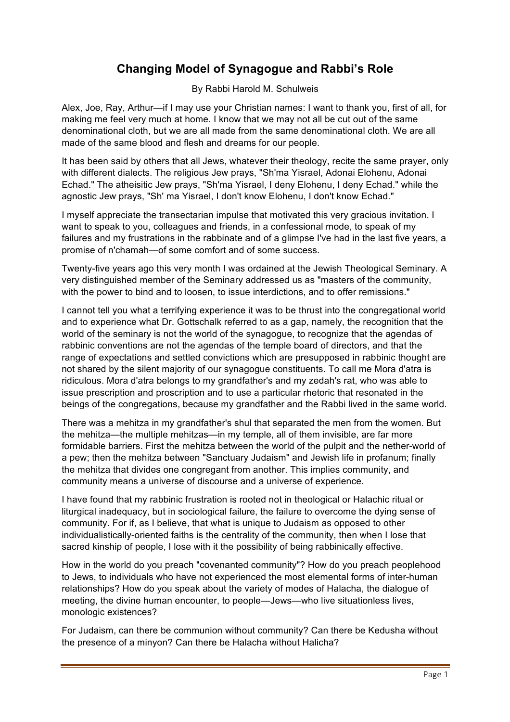## **Changing Model of Synagogue and Rabbi's Role**

By Rabbi Harold M. Schulweis

Alex, Joe, Ray, Arthur—if I may use your Christian names: I want to thank you, first of all, for making me feel very much at home. I know that we may not all be cut out of the same denominational cloth, but we are all made from the same denominational cloth. We are all made of the same blood and flesh and dreams for our people.

It has been said by others that all Jews, whatever their theology, recite the same prayer, only with different dialects. The religious Jew prays, "Sh'ma Yisrael, Adonai Elohenu, Adonai Echad." The atheisitic Jew prays, "Sh'ma Yisrael, I deny Elohenu, I deny Echad." while the agnostic Jew prays, "Sh' ma Yisrael, I don't know Elohenu, I don't know Echad."

I myself appreciate the transectarian impulse that motivated this very gracious invitation. I want to speak to you, colleagues and friends, in a confessional mode, to speak of my failures and my frustrations in the rabbinate and of a glimpse I've had in the last five years, a promise of n'chamah—of some comfort and of some success.

Twenty-five years ago this very month I was ordained at the Jewish Theological Seminary. A very distinguished member of the Seminary addressed us as "masters of the community, with the power to bind and to loosen, to issue interdictions, and to offer remissions."

I cannot tell you what a terrifying experience it was to be thrust into the congregational world and to experience what Dr. Gottschalk referred to as a gap, namely, the recognition that the world of the seminary is not the world of the synagogue, to recognize that the agendas of rabbinic conventions are not the agendas of the temple board of directors, and that the range of expectations and settled convictions which are presupposed in rabbinic thought are not shared by the silent majority of our synagogue constituents. To call me Mora d'atra is ridiculous. Mora d'atra belongs to my grandfather's and my zedah's rat, who was able to issue prescription and proscription and to use a particular rhetoric that resonated in the beings of the congregations, because my grandfather and the Rabbi lived in the same world.

There was a mehitza in my grandfather's shul that separated the men from the women. But the mehitza—the multiple mehitzas—in my temple, all of them invisible, are far more formidable barriers. First the mehitza between the world of the pulpit and the nether-world of a pew; then the mehitza between "Sanctuary Judaism" and Jewish life in profanum; finally the mehitza that divides one congregant from another. This implies community, and community means a universe of discourse and a universe of experience.

I have found that my rabbinic frustration is rooted not in theological or Halachic ritual or liturgical inadequacy, but in sociological failure, the failure to overcome the dying sense of community. For if, as I believe, that what is unique to Judaism as opposed to other individualistically-oriented faiths is the centrality of the community, then when I lose that sacred kinship of people, I lose with it the possibility of being rabbinically effective.

How in the world do you preach "covenanted community"? How do you preach peoplehood to Jews, to individuals who have not experienced the most elemental forms of inter-human relationships? How do you speak about the variety of modes of Halacha, the dialogue of meeting, the divine human encounter, to people—Jews—who live situationless lives, monologic existences?

For Judaism, can there be communion without community? Can there be Kedusha without the presence of a minyon? Can there be Halacha without Halicha?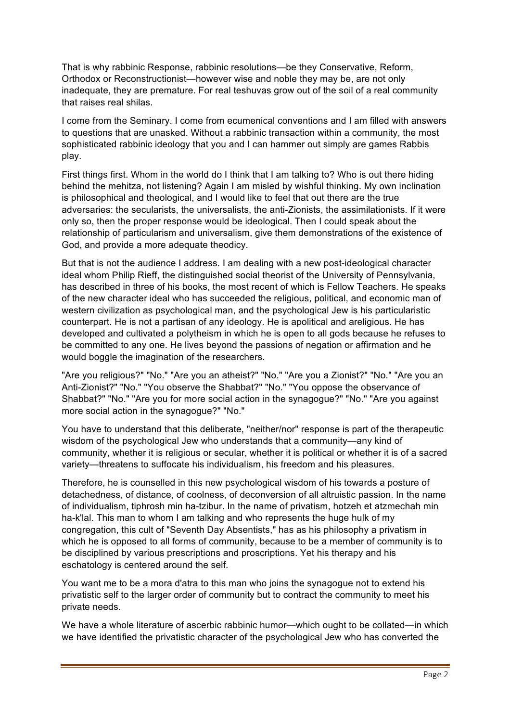That is why rabbinic Response, rabbinic resolutions—be they Conservative, Reform, Orthodox or Reconstructionist—however wise and noble they may be, are not only inadequate, they are premature. For real teshuvas grow out of the soil of a real community that raises real shilas.

I come from the Seminary. I come from ecumenical conventions and I am filled with answers to questions that are unasked. Without a rabbinic transaction within a community, the most sophisticated rabbinic ideology that you and I can hammer out simply are games Rabbis play.

First things first. Whom in the world do I think that I am talking to? Who is out there hiding behind the mehitza, not listening? Again I am misled by wishful thinking. My own inclination is philosophical and theological, and I would like to feel that out there are the true adversaries: the secularists, the universalists, the anti-Zionists, the assimilationists. If it were only so, then the proper response would be ideological. Then I could speak about the relationship of particularism and universalism, give them demonstrations of the existence of God, and provide a more adequate theodicy.

But that is not the audience I address. I am dealing with a new post-ideological character ideal whom Philip Rieff, the distinguished social theorist of the University of Pennsylvania, has described in three of his books, the most recent of which is Fellow Teachers. He speaks of the new character ideal who has succeeded the religious, political, and economic man of western civilization as psychological man, and the psychological Jew is his particularistic counterpart. He is not a partisan of any ideology. He is apolitical and areligious. He has developed and cultivated a polytheism in which he is open to all gods because he refuses to be committed to any one. He lives beyond the passions of negation or affirmation and he would boggle the imagination of the researchers.

"Are you religious?" "No." "Are you an atheist?" "No." "Are you a Zionist?" "No." "Are you an Anti-Zionist?" "No." "You observe the Shabbat?" "No." "You oppose the observance of Shabbat?" "No." "Are you for more social action in the synagogue?" "No." "Are you against more social action in the synagogue?" "No."

You have to understand that this deliberate, "neither/nor" response is part of the therapeutic wisdom of the psychological Jew who understands that a community—any kind of community, whether it is religious or secular, whether it is political or whether it is of a sacred variety—threatens to suffocate his individualism, his freedom and his pleasures.

Therefore, he is counselled in this new psychological wisdom of his towards a posture of detachedness, of distance, of coolness, of deconversion of all altruistic passion. In the name of individualism, tiphrosh min ha-tzibur. In the name of privatism, hotzeh et atzmechah min ha-k'lal. This man to whom I am talking and who represents the huge hulk of my congregation, this cult of "Seventh Day Absentists," has as his philosophy a privatism in which he is opposed to all forms of community, because to be a member of community is to be disciplined by various prescriptions and proscriptions. Yet his therapy and his eschatology is centered around the self.

You want me to be a mora d'atra to this man who joins the synagogue not to extend his privatistic self to the larger order of community but to contract the community to meet his private needs.

We have a whole literature of ascerbic rabbinic humor—which ought to be collated—in which we have identified the privatistic character of the psychological Jew who has converted the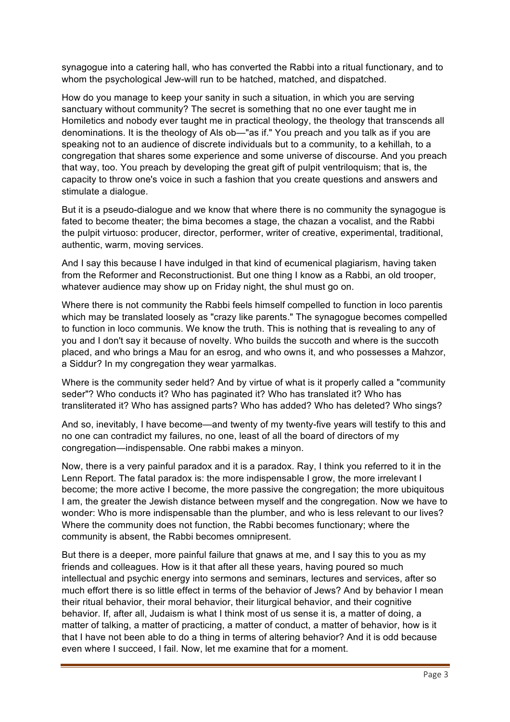synagogue into a catering hall, who has converted the Rabbi into a ritual functionary, and to whom the psychological Jew-will run to be hatched, matched, and dispatched.

How do you manage to keep your sanity in such a situation, in which you are serving sanctuary without community? The secret is something that no one ever taught me in Homiletics and nobody ever taught me in practical theology, the theology that transcends all denominations. It is the theology of Als ob—"as if." You preach and you talk as if you are speaking not to an audience of discrete individuals but to a community, to a kehillah, to a congregation that shares some experience and some universe of discourse. And you preach that way, too. You preach by developing the great gift of pulpit ventriloquism; that is, the capacity to throw one's voice in such a fashion that you create questions and answers and stimulate a dialogue.

But it is a pseudo-dialogue and we know that where there is no community the synagogue is fated to become theater; the bima becomes a stage, the chazan a vocalist, and the Rabbi the pulpit virtuoso: producer, director, performer, writer of creative, experimental, traditional, authentic, warm, moving services.

And I say this because I have indulged in that kind of ecumenical plagiarism, having taken from the Reformer and Reconstructionist. But one thing I know as a Rabbi, an old trooper, whatever audience may show up on Friday night, the shul must go on.

Where there is not community the Rabbi feels himself compelled to function in loco parentis which may be translated loosely as "crazy like parents." The synagogue becomes compelled to function in loco communis. We know the truth. This is nothing that is revealing to any of you and I don't say it because of novelty. Who builds the succoth and where is the succoth placed, and who brings a Mau for an esrog, and who owns it, and who possesses a Mahzor, a Siddur? In my congregation they wear yarmalkas.

Where is the community seder held? And by virtue of what is it properly called a "community seder"? Who conducts it? Who has paginated it? Who has translated it? Who has transliterated it? Who has assigned parts? Who has added? Who has deleted? Who sings?

And so, inevitably, I have become—and twenty of my twenty-five years will testify to this and no one can contradict my failures, no one, least of all the board of directors of my congregation—indispensable. One rabbi makes a minyon.

Now, there is a very painful paradox and it is a paradox. Ray, I think you referred to it in the Lenn Report. The fatal paradox is: the more indispensable I grow, the more irrelevant I become; the more active I become, the more passive the congregation; the more ubiquitous I am, the greater the Jewish distance between myself and the congregation. Now we have to wonder: Who is more indispensable than the plumber, and who is less relevant to our lives? Where the community does not function, the Rabbi becomes functionary; where the community is absent, the Rabbi becomes omnipresent.

But there is a deeper, more painful failure that gnaws at me, and I say this to you as my friends and colleagues. How is it that after all these years, having poured so much intellectual and psychic energy into sermons and seminars, lectures and services, after so much effort there is so little effect in terms of the behavior of Jews? And by behavior I mean their ritual behavior, their moral behavior, their liturgical behavior, and their cognitive behavior. If, after all, Judaism is what I think most of us sense it is, a matter of doing, a matter of talking, a matter of practicing, a matter of conduct, a matter of behavior, how is it that I have not been able to do a thing in terms of altering behavior? And it is odd because even where I succeed, I fail. Now, let me examine that for a moment.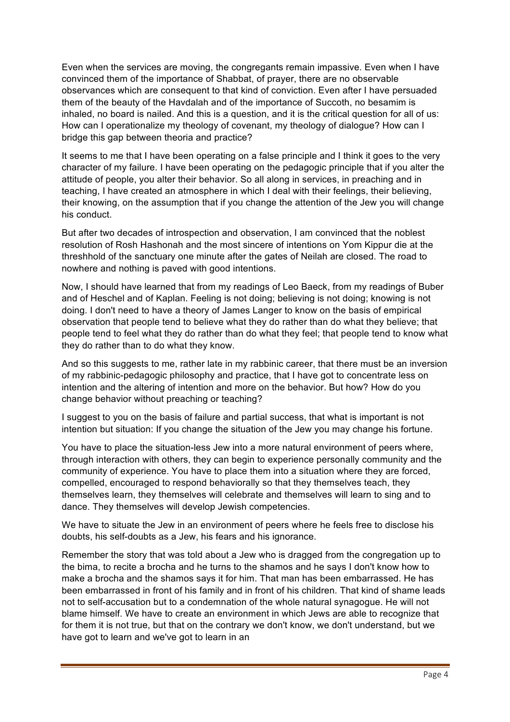Even when the services are moving, the congregants remain impassive. Even when I have convinced them of the importance of Shabbat, of prayer, there are no observable observances which are consequent to that kind of conviction. Even after I have persuaded them of the beauty of the Havdalah and of the importance of Succoth, no besamim is inhaled, no board is nailed. And this is a question, and it is the critical question for all of us: How can I operationalize my theology of covenant, my theology of dialogue? How can I bridge this gap between theoria and practice?

It seems to me that I have been operating on a false principle and I think it goes to the very character of my failure. I have been operating on the pedagogic principle that if you alter the attitude of people, you alter their behavior. So all along in services, in preaching and in teaching, I have created an atmosphere in which I deal with their feelings, their believing, their knowing, on the assumption that if you change the attention of the Jew you will change his conduct.

But after two decades of introspection and observation, I am convinced that the noblest resolution of Rosh Hashonah and the most sincere of intentions on Yom Kippur die at the threshhold of the sanctuary one minute after the gates of Neilah are closed. The road to nowhere and nothing is paved with good intentions.

Now, I should have learned that from my readings of Leo Baeck, from my readings of Buber and of Heschel and of Kaplan. Feeling is not doing; believing is not doing; knowing is not doing. I don't need to have a theory of James Langer to know on the basis of empirical observation that people tend to believe what they do rather than do what they believe; that people tend to feel what they do rather than do what they feel; that people tend to know what they do rather than to do what they know.

And so this suggests to me, rather late in my rabbinic career, that there must be an inversion of my rabbinic-pedagogic philosophy and practice, that I have got to concentrate less on intention and the altering of intention and more on the behavior. But how? How do you change behavior without preaching or teaching?

I suggest to you on the basis of failure and partial success, that what is important is not intention but situation: If you change the situation of the Jew you may change his fortune.

You have to place the situation-less Jew into a more natural environment of peers where, through interaction with others, they can begin to experience personally community and the community of experience. You have to place them into a situation where they are forced, compelled, encouraged to respond behaviorally so that they themselves teach, they themselves learn, they themselves will celebrate and themselves will learn to sing and to dance. They themselves will develop Jewish competencies.

We have to situate the Jew in an environment of peers where he feels free to disclose his doubts, his self-doubts as a Jew, his fears and his ignorance.

Remember the story that was told about a Jew who is dragged from the congregation up to the bima, to recite a brocha and he turns to the shamos and he says I don't know how to make a brocha and the shamos says it for him. That man has been embarrassed. He has been embarrassed in front of his family and in front of his children. That kind of shame leads not to self-accusation but to a condemnation of the whole natural synagogue. He will not blame himself. We have to create an environment in which Jews are able to recognize that for them it is not true, but that on the contrary we don't know, we don't understand, but we have got to learn and we've got to learn in an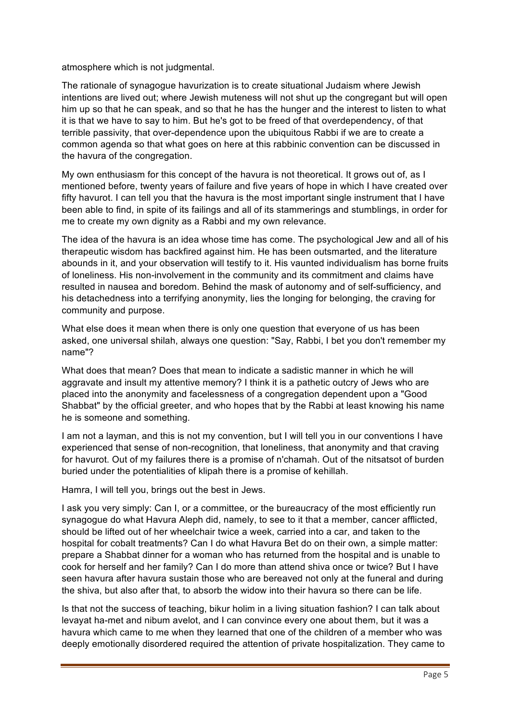atmosphere which is not judgmental.

The rationale of synagogue havurization is to create situational Judaism where Jewish intentions are lived out; where Jewish muteness will not shut up the congregant but will open him up so that he can speak, and so that he has the hunger and the interest to listen to what it is that we have to say to him. But he's got to be freed of that overdependency, of that terrible passivity, that over-dependence upon the ubiquitous Rabbi if we are to create a common agenda so that what goes on here at this rabbinic convention can be discussed in the havura of the congregation.

My own enthusiasm for this concept of the havura is not theoretical. It grows out of, as I mentioned before, twenty years of failure and five years of hope in which I have created over fifty havurot. I can tell you that the havura is the most important single instrument that I have been able to find, in spite of its failings and all of its stammerings and stumblings, in order for me to create my own dignity as a Rabbi and my own relevance.

The idea of the havura is an idea whose time has come. The psychological Jew and all of his therapeutic wisdom has backfired against him. He has been outsmarted, and the literature abounds in it, and your observation will testify to it. His vaunted individualism has borne fruits of loneliness. His non-involvement in the community and its commitment and claims have resulted in nausea and boredom. Behind the mask of autonomy and of self-sufficiency, and his detachedness into a terrifying anonymity, lies the longing for belonging, the craving for community and purpose.

What else does it mean when there is only one question that everyone of us has been asked, one universal shilah, always one question: "Say, Rabbi, I bet you don't remember my name"?

What does that mean? Does that mean to indicate a sadistic manner in which he will aggravate and insult my attentive memory? I think it is a pathetic outcry of Jews who are placed into the anonymity and facelessness of a congregation dependent upon a "Good Shabbat" by the official greeter, and who hopes that by the Rabbi at least knowing his name he is someone and something.

I am not a layman, and this is not my convention, but I will tell you in our conventions I have experienced that sense of non-recognition, that loneliness, that anonymity and that craving for havurot. Out of my failures there is a promise of n'chamah. Out of the nitsatsot of burden buried under the potentialities of klipah there is a promise of kehillah.

Hamra, I will tell you, brings out the best in Jews.

I ask you very simply: Can I, or a committee, or the bureaucracy of the most efficiently run synagogue do what Havura Aleph did, namely, to see to it that a member, cancer afflicted, should be lifted out of her wheelchair twice a week, carried into a car, and taken to the hospital for cobalt treatments? Can I do what Havura Bet do on their own, a simple matter: prepare a Shabbat dinner for a woman who has returned from the hospital and is unable to cook for herself and her family? Can I do more than attend shiva once or twice? But I have seen havura after havura sustain those who are bereaved not only at the funeral and during the shiva, but also after that, to absorb the widow into their havura so there can be life.

Is that not the success of teaching, bikur holim in a living situation fashion? I can talk about levayat ha-met and nibum avelot, and I can convince every one about them, but it was a havura which came to me when they learned that one of the children of a member who was deeply emotionally disordered required the attention of private hospitalization. They came to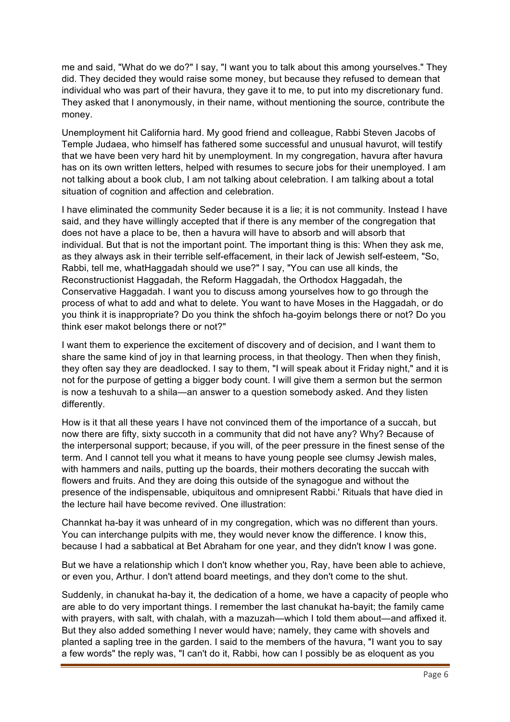me and said, "What do we do?" I say, "I want you to talk about this among yourselves." They did. They decided they would raise some money, but because they refused to demean that individual who was part of their havura, they gave it to me, to put into my discretionary fund. They asked that I anonymously, in their name, without mentioning the source, contribute the money.

Unemployment hit California hard. My good friend and colleague, Rabbi Steven Jacobs of Temple Judaea, who himself has fathered some successful and unusual havurot, will testify that we have been very hard hit by unemployment. In my congregation, havura after havura has on its own written letters, helped with resumes to secure jobs for their unemployed. I am not talking about a book club, I am not talking about celebration. I am talking about a total situation of cognition and affection and celebration.

I have eliminated the community Seder because it is a lie; it is not community. Instead I have said, and they have willingly accepted that if there is any member of the congregation that does not have a place to be, then a havura will have to absorb and will absorb that individual. But that is not the important point. The important thing is this: When they ask me, as they always ask in their terrible self-effacement, in their lack of Jewish self-esteem, "So, Rabbi, tell me, whatHaggadah should we use?" I say, "You can use all kinds, the Reconstructionist Haggadah, the Reform Haggadah, the Orthodox Haggadah, the Conservative Haggadah. I want you to discuss among yourselves how to go through the process of what to add and what to delete. You want to have Moses in the Haggadah, or do you think it is inappropriate? Do you think the shfoch ha-goyim belongs there or not? Do you think eser makot belongs there or not?"

I want them to experience the excitement of discovery and of decision, and I want them to share the same kind of joy in that learning process, in that theology. Then when they finish, they often say they are deadlocked. I say to them, "I will speak about it Friday night," and it is not for the purpose of getting a bigger body count. I will give them a sermon but the sermon is now a teshuvah to a shila—an answer to a question somebody asked. And they listen differently.

How is it that all these years I have not convinced them of the importance of a succah, but now there are fifty, sixty succoth in a community that did not have any? Why? Because of the interpersonal support; because, if you will, of the peer pressure in the finest sense of the term. And I cannot tell you what it means to have young people see clumsy Jewish males, with hammers and nails, putting up the boards, their mothers decorating the succah with flowers and fruits. And they are doing this outside of the synagogue and without the presence of the indispensable, ubiquitous and omnipresent Rabbi.' Rituals that have died in the lecture hail have become revived. One illustration:

Channkat ha-bay it was unheard of in my congregation, which was no different than yours. You can interchange pulpits with me, they would never know the difference. I know this, because I had a sabbatical at Bet Abraham for one year, and they didn't know I was gone.

But we have a relationship which I don't know whether you, Ray, have been able to achieve, or even you, Arthur. I don't attend board meetings, and they don't come to the shut.

Suddenly, in chanukat ha-bay it, the dedication of a home, we have a capacity of people who are able to do very important things. I remember the last chanukat ha-bayit; the family came with prayers, with salt, with chalah, with a mazuzah—which I told them about—and affixed it. But they also added something I never would have; namely, they came with shovels and planted a sapling tree in the garden. I said to the members of the havura, "I want you to say a few words" the reply was, "I can't do it, Rabbi, how can I possibly be as eloquent as you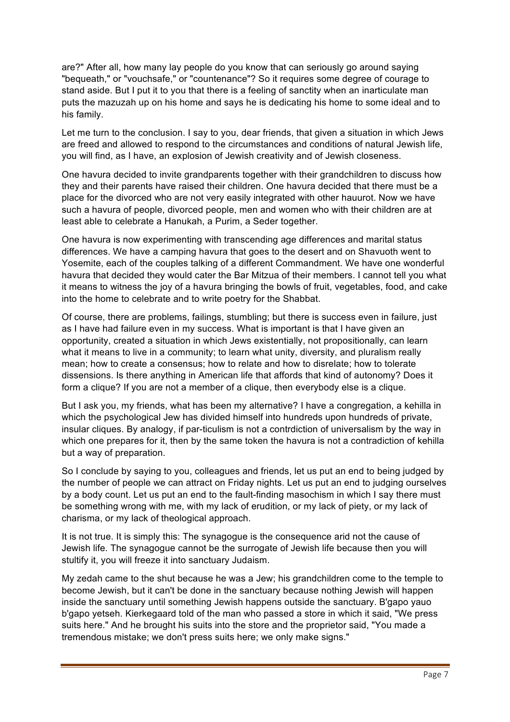are?" After all, how many lay people do you know that can seriously go around saying "bequeath," or "vouchsafe," or "countenance"? So it requires some degree of courage to stand aside. But I put it to you that there is a feeling of sanctity when an inarticulate man puts the mazuzah up on his home and says he is dedicating his home to some ideal and to his family.

Let me turn to the conclusion. I say to you, dear friends, that given a situation in which Jews are freed and allowed to respond to the circumstances and conditions of natural Jewish life, you will find, as I have, an explosion of Jewish creativity and of Jewish closeness.

One havura decided to invite grandparents together with their grandchildren to discuss how they and their parents have raised their children. One havura decided that there must be a place for the divorced who are not very easily integrated with other hauurot. Now we have such a havura of people, divorced people, men and women who with their children are at least able to celebrate a Hanukah, a Purim, a Seder together.

One havura is now experimenting with transcending age differences and marital status differences. We have a camping havura that goes to the desert and on Shavuoth went to Yosemite, each of the couples talking of a different Commandment. We have one wonderful havura that decided they would cater the Bar Mitzua of their members. I cannot tell you what it means to witness the joy of a havura bringing the bowls of fruit, vegetables, food, and cake into the home to celebrate and to write poetry for the Shabbat.

Of course, there are problems, failings, stumbling; but there is success even in failure, just as I have had failure even in my success. What is important is that I have given an opportunity, created a situation in which Jews existentially, not propositionally, can learn what it means to live in a community; to learn what unity, diversity, and pluralism really mean; how to create a consensus; how to relate and how to disrelate; how to tolerate dissensions. Is there anything in American life that affords that kind of autonomy? Does it form a clique? If you are not a member of a clique, then everybody else is a clique.

But I ask you, my friends, what has been my alternative? I have a congregation, a kehilla in which the psychological Jew has divided himself into hundreds upon hundreds of private, insular cliques. By analogy, if par-ticulism is not a contrdiction of universalism by the way in which one prepares for it, then by the same token the havura is not a contradiction of kehilla but a way of preparation.

So I conclude by saying to you, colleagues and friends, let us put an end to being judged by the number of people we can attract on Friday nights. Let us put an end to judging ourselves by a body count. Let us put an end to the fault-finding masochism in which I say there must be something wrong with me, with my lack of erudition, or my lack of piety, or my lack of charisma, or my lack of theological approach.

It is not true. It is simply this: The synagogue is the consequence arid not the cause of Jewish life. The synagogue cannot be the surrogate of Jewish life because then you will stultify it, you will freeze it into sanctuary Judaism.

My zedah came to the shut because he was a Jew; his grandchildren come to the temple to become Jewish, but it can't be done in the sanctuary because nothing Jewish will happen inside the sanctuary until something Jewish happens outside the sanctuary. B'gapo yauo b'gapo yetseh. Kierkegaard told of the man who passed a store in which it said, "We press suits here." And he brought his suits into the store and the proprietor said, "You made a tremendous mistake; we don't press suits here; we only make signs."